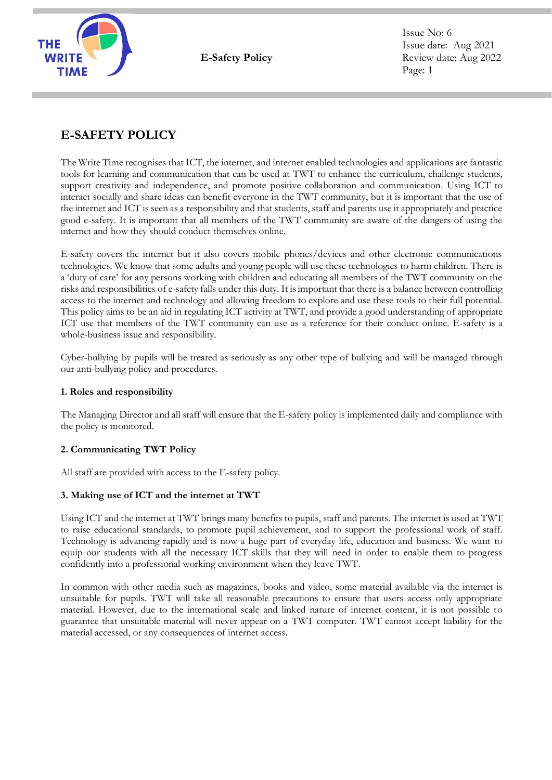

**E-Safety Policy**

Issue No: 6 Issue date: Aug 2021 Review date: Aug 2022 Page: 1

# **E-SAFETY POLICY**

The Write Time recognises that ICT, the internet, and internet enabled technologies and applications are fantastic tools for learning and communication that can be used at TWT to enhance the curriculum, challenge students, support creativity and independence, and promote positive collaboration and communication. Using ICT to interact socially and share ideas can benefit everyone in the TWT community, but it is important that the use of the internet and ICT is seen as a responsibility and that students, staff and parents use it appropriately and practice good e-safety. It is important that all members of the TWT community are aware of the dangers of using the internet and how they should conduct themselves online.

E-safety covers the internet but it also covers mobile phones/devices and other electronic communications technologies. We know that some adults and young people will use these technologies to harm children. There is a 'duty of care' for any persons working with children and educating all members of the TWT community on the risks and responsibilities of e-safety falls under this duty. It is important that there is a balance between controlling access to the internet and technology and allowing freedom to explore and use these tools to their full potential. This policy aims to be an aid in regulating ICT activity at TWT, and provide a good understanding of appropriate ICT use that members of the TWT community can use as a reference for their conduct online. E-safety is a whole-business issue and responsibility.

Cyber-bullying by pupils will be treated as seriously as any other type of bullying and will be managed through our anti-bullying policy and procedures.

# **1. Roles and responsibility**

The Managing Director and all staff will ensure that the E-safety policy is implemented daily and compliance with the policy is monitored.

# **2. Communicating TWT Policy**

All staff are provided with access to the E-safety policy.

# **3. Making use of ICT and the internet at TWT**

Using ICT and the internet at TWT brings many benefits to pupils, staff and parents. The internet is used at TWT to raise educational standards, to promote pupil achievement, and to support the professional work of staff. Technology is advancing rapidly and is now a huge part of everyday life, education and business. We want to equip our students with all the necessary ICT skills that they will need in order to enable them to progress confidently into a professional working environment when they leave TWT.

In common with other media such as magazines, books and video, some material available via the internet is unsuitable for pupils. TWT will take all reasonable precautions to ensure that users access only appropriate material. However, due to the international scale and linked nature of internet content, it is not possible to guarantee that unsuitable material will never appear on a TWT computer. TWT cannot accept liability for the material accessed, or any consequences of internet access.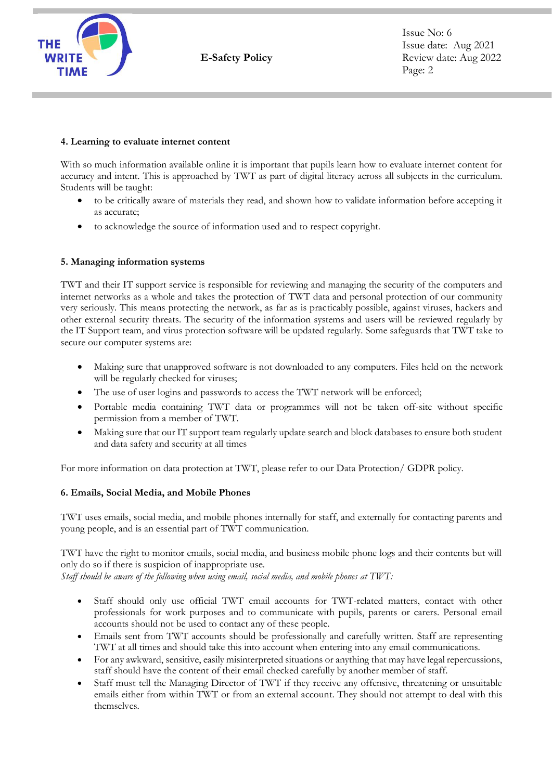

## **4. Learning to evaluate internet content**

With so much information available online it is important that pupils learn how to evaluate internet content for accuracy and intent. This is approached by TWT as part of digital literacy across all subjects in the curriculum. Students will be taught:

- to be critically aware of materials they read, and shown how to validate information before accepting it as accurate;
- to acknowledge the source of information used and to respect copyright.

# **5. Managing information systems**

TWT and their IT support service is responsible for reviewing and managing the security of the computers and internet networks as a whole and takes the protection of TWT data and personal protection of our community very seriously. This means protecting the network, as far as is practicably possible, against viruses, hackers and other external security threats. The security of the information systems and users will be reviewed regularly by the IT Support team, and virus protection software will be updated regularly. Some safeguards that TWT take to secure our computer systems are:

- Making sure that unapproved software is not downloaded to any computers. Files held on the network will be regularly checked for viruses;
- The use of user logins and passwords to access the TWT network will be enforced;
- Portable media containing TWT data or programmes will not be taken off-site without specific permission from a member of TWT.
- Making sure that our IT support team regularly update search and block databases to ensure both student and data safety and security at all times

For more information on data protection at TWT, please refer to our Data Protection/ GDPR policy.

# **6. Emails, Social Media, and Mobile Phones**

TWT uses emails, social media, and mobile phones internally for staff, and externally for contacting parents and young people, and is an essential part of TWT communication.

TWT have the right to monitor emails, social media, and business mobile phone logs and their contents but will only do so if there is suspicion of inappropriate use.

*Staff should be aware of the following when using email, social media, and mobile phones at TWT:* 

- Staff should only use official TWT email accounts for TWT-related matters, contact with other professionals for work purposes and to communicate with pupils, parents or carers. Personal email accounts should not be used to contact any of these people.
- Emails sent from TWT accounts should be professionally and carefully written. Staff are representing TWT at all times and should take this into account when entering into any email communications.
- For any awkward, sensitive, easily misinterpreted situations or anything that may have legal repercussions, staff should have the content of their email checked carefully by another member of staff.
- Staff must tell the Managing Director of TWT if they receive any offensive, threatening or unsuitable emails either from within TWT or from an external account. They should not attempt to deal with this themselves.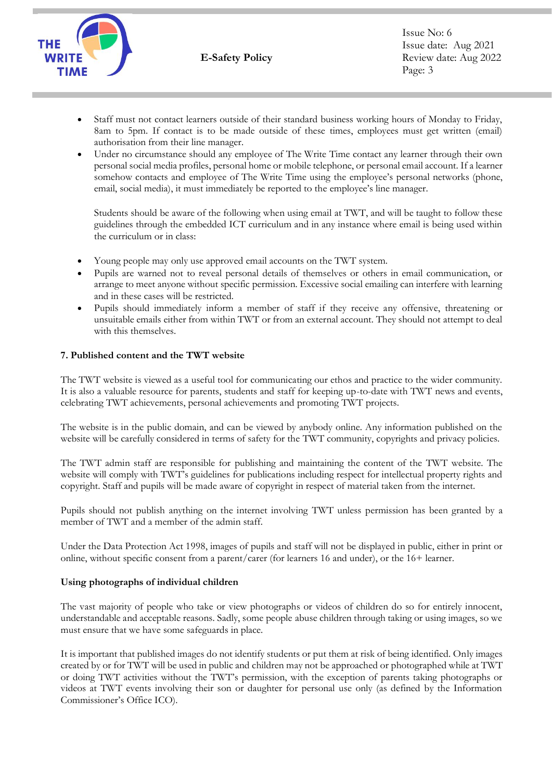

- Staff must not contact learners outside of their standard business working hours of Monday to Friday, 8am to 5pm. If contact is to be made outside of these times, employees must get written (email) authorisation from their line manager.
- Under no circumstance should any employee of The Write Time contact any learner through their own personal social media profiles, personal home or mobile telephone, or personal email account. If a learner somehow contacts and employee of The Write Time using the employee's personal networks (phone, email, social media), it must immediately be reported to the employee's line manager.

Students should be aware of the following when using email at TWT, and will be taught to follow these guidelines through the embedded ICT curriculum and in any instance where email is being used within the curriculum or in class:

- Young people may only use approved email accounts on the TWT system.
- Pupils are warned not to reveal personal details of themselves or others in email communication, or arrange to meet anyone without specific permission. Excessive social emailing can interfere with learning and in these cases will be restricted.
- Pupils should immediately inform a member of staff if they receive any offensive, threatening or unsuitable emails either from within TWT or from an external account. They should not attempt to deal with this themselves.

## **7. Published content and the TWT website**

The TWT website is viewed as a useful tool for communicating our ethos and practice to the wider community. It is also a valuable resource for parents, students and staff for keeping up-to-date with TWT news and events, celebrating TWT achievements, personal achievements and promoting TWT projects.

The website is in the public domain, and can be viewed by anybody online. Any information published on the website will be carefully considered in terms of safety for the TWT community, copyrights and privacy policies.

The TWT admin staff are responsible for publishing and maintaining the content of the TWT website. The website will comply with TWT's guidelines for publications including respect for intellectual property rights and copyright. Staff and pupils will be made aware of copyright in respect of material taken from the internet.

Pupils should not publish anything on the internet involving TWT unless permission has been granted by a member of TWT and a member of the admin staff.

Under the Data Protection Act 1998, images of pupils and staff will not be displayed in public, either in print or online, without specific consent from a parent/carer (for learners 16 and under), or the 16+ learner.

#### **Using photographs of individual children**

The vast majority of people who take or view photographs or videos of children do so for entirely innocent, understandable and acceptable reasons. Sadly, some people abuse children through taking or using images, so we must ensure that we have some safeguards in place.

It is important that published images do not identify students or put them at risk of being identified. Only images created by or for TWT will be used in public and children may not be approached or photographed while at TWT or doing TWT activities without the TWT's permission, with the exception of parents taking photographs or videos at TWT events involving their son or daughter for personal use only (as defined by the Information Commissioner's Office ICO).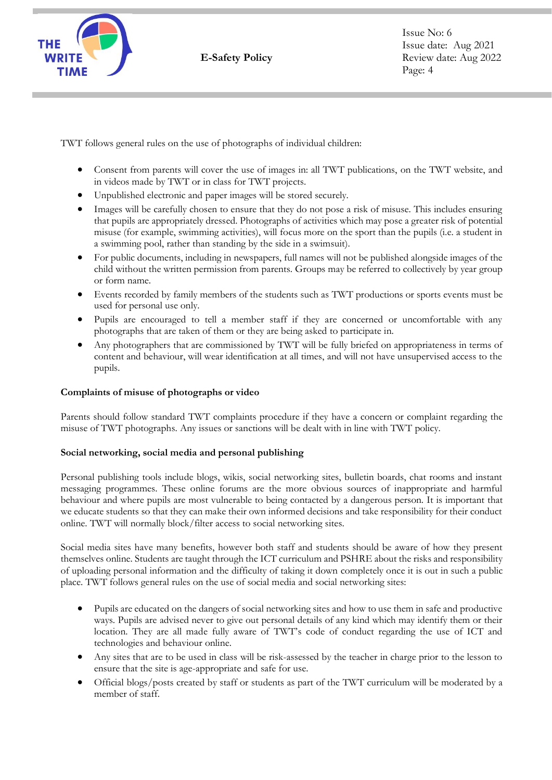

Issue No: 6 Issue date: Aug 2021 Review date: Aug 2022 Page: 4

TWT follows general rules on the use of photographs of individual children:

- Consent from parents will cover the use of images in: all TWT publications, on the TWT website, and in videos made by TWT or in class for TWT projects.
- Unpublished electronic and paper images will be stored securely.
- Images will be carefully chosen to ensure that they do not pose a risk of misuse. This includes ensuring that pupils are appropriately dressed. Photographs of activities which may pose a greater risk of potential misuse (for example, swimming activities), will focus more on the sport than the pupils (i.e. a student in a swimming pool, rather than standing by the side in a swimsuit).
- For public documents, including in newspapers, full names will not be published alongside images of the child without the written permission from parents. Groups may be referred to collectively by year group or form name.
- Events recorded by family members of the students such as TWT productions or sports events must be used for personal use only.
- Pupils are encouraged to tell a member staff if they are concerned or uncomfortable with any photographs that are taken of them or they are being asked to participate in.
- Any photographers that are commissioned by TWT will be fully briefed on appropriateness in terms of content and behaviour, will wear identification at all times, and will not have unsupervised access to the pupils.

#### **Complaints of misuse of photographs or video**

Parents should follow standard TWT complaints procedure if they have a concern or complaint regarding the misuse of TWT photographs. Any issues or sanctions will be dealt with in line with TWT policy.

#### **Social networking, social media and personal publishing**

Personal publishing tools include blogs, wikis, social networking sites, bulletin boards, chat rooms and instant messaging programmes. These online forums are the more obvious sources of inappropriate and harmful behaviour and where pupils are most vulnerable to being contacted by a dangerous person. It is important that we educate students so that they can make their own informed decisions and take responsibility for their conduct online. TWT will normally block/filter access to social networking sites.

Social media sites have many benefits, however both staff and students should be aware of how they present themselves online. Students are taught through the ICT curriculum and PSHRE about the risks and responsibility of uploading personal information and the difficulty of taking it down completely once it is out in such a public place. TWT follows general rules on the use of social media and social networking sites:

- Pupils are educated on the dangers of social networking sites and how to use them in safe and productive ways. Pupils are advised never to give out personal details of any kind which may identify them or their location. They are all made fully aware of TWT's code of conduct regarding the use of ICT and technologies and behaviour online.
- Any sites that are to be used in class will be risk-assessed by the teacher in charge prior to the lesson to ensure that the site is age-appropriate and safe for use.
- Official blogs/posts created by staff or students as part of the TWT curriculum will be moderated by a member of staff.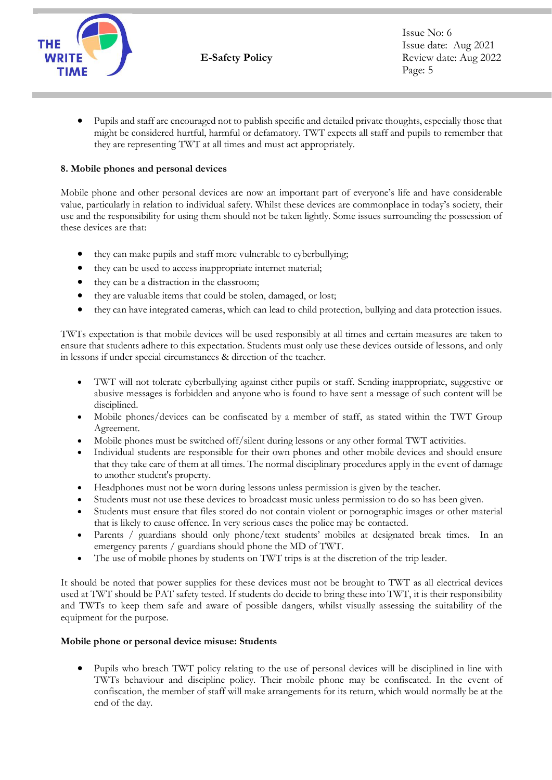

• Pupils and staff are encouraged not to publish specific and detailed private thoughts, especially those that might be considered hurtful, harmful or defamatory. TWT expects all staff and pupils to remember that they are representing TWT at all times and must act appropriately.

# **8. Mobile phones and personal devices**

Mobile phone and other personal devices are now an important part of everyone's life and have considerable value, particularly in relation to individual safety. Whilst these devices are commonplace in today's society, their use and the responsibility for using them should not be taken lightly. Some issues surrounding the possession of these devices are that:

- they can make pupils and staff more vulnerable to cyberbullying;
- they can be used to access inappropriate internet material;
- they can be a distraction in the classroom;
- they are valuable items that could be stolen, damaged, or lost;
- they can have integrated cameras, which can lead to child protection, bullying and data protection issues.

TWTs expectation is that mobile devices will be used responsibly at all times and certain measures are taken to ensure that students adhere to this expectation. Students must only use these devices outside of lessons, and only in lessons if under special circumstances & direction of the teacher.

- TWT will not tolerate cyberbullying against either pupils or staff. Sending inappropriate, suggestive or abusive messages is forbidden and anyone who is found to have sent a message of such content will be disciplined.
- Mobile phones/devices can be confiscated by a member of staff, as stated within the TWT Group Agreement.
- Mobile phones must be switched off/silent during lessons or any other formal TWT activities.
- Individual students are responsible for their own phones and other mobile devices and should ensure that they take care of them at all times. The normal disciplinary procedures apply in the event of damage to another student's property.
- Headphones must not be worn during lessons unless permission is given by the teacher.
- Students must not use these devices to broadcast music unless permission to do so has been given.
- Students must ensure that files stored do not contain violent or pornographic images or other material that is likely to cause offence. In very serious cases the police may be contacted.
- Parents / guardians should only phone/text students' mobiles at designated break times. In an emergency parents / guardians should phone the MD of TWT.
- The use of mobile phones by students on TWT trips is at the discretion of the trip leader.

It should be noted that power supplies for these devices must not be brought to TWT as all electrical devices used at TWT should be PAT safety tested. If students do decide to bring these into TWT, it is their responsibility and TWTs to keep them safe and aware of possible dangers, whilst visually assessing the suitability of the equipment for the purpose.

#### **Mobile phone or personal device misuse: Students**

• Pupils who breach TWT policy relating to the use of personal devices will be disciplined in line with TWTs behaviour and discipline policy. Their mobile phone may be confiscated. In the event of confiscation, the member of staff will make arrangements for its return, which would normally be at the end of the day.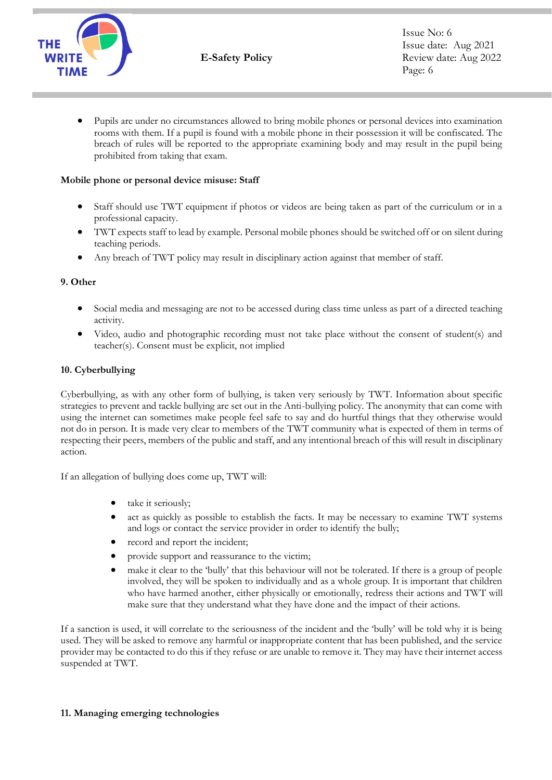

• Pupils are under no circumstances allowed to bring mobile phones or personal devices into examination rooms with them. If a pupil is found with a mobile phone in their possession it will be confiscated. The breach of rules will be reported to the appropriate examining body and may result in the pupil being prohibited from taking that exam.

## **Mobile phone or personal device misuse: Staff**

- Staff should use TWT equipment if photos or videos are being taken as part of the curriculum or in a professional capacity.
- TWT expects staff to lead by example. Personal mobile phones should be switched off or on silent during teaching periods.
- Any breach of TWT policy may result in disciplinary action against that member of staff.

## **9. Other**

- Social media and messaging are not to be accessed during class time unless as part of a directed teaching activity.
- Video, audio and photographic recording must not take place without the consent of student(s) and teacher(s). Consent must be explicit, not implied

## **10. Cyberbullying**

Cyberbullying, as with any other form of bullying, is taken very seriously by TWT. Information about specific strategies to prevent and tackle bullying are set out in the Anti-bullying policy. The anonymity that can come with using the internet can sometimes make people feel safe to say and do hurtful things that they otherwise would not do in person. It is made very clear to members of the TWT community what is expected of them in terms of respecting their peers, members of the public and staff, and any intentional breach of this will result in disciplinary action.

If an allegation of bullying does come up, TWT will:

- take it seriously;
- act as quickly as possible to establish the facts. It may be necessary to examine TWT systems and logs or contact the service provider in order to identify the bully;
- record and report the incident;
- provide support and reassurance to the victim;
- make it clear to the 'bully' that this behaviour will not be tolerated. If there is a group of people involved, they will be spoken to individually and as a whole group. It is important that children who have harmed another, either physically or emotionally, redress their actions and TWT will make sure that they understand what they have done and the impact of their actions.

If a sanction is used, it will correlate to the seriousness of the incident and the 'bully' will be told why it is being used. They will be asked to remove any harmful or inappropriate content that has been published, and the service provider may be contacted to do this if they refuse or are unable to remove it. They may have their internet access suspended at TWT.

#### **11. Managing emerging technologies**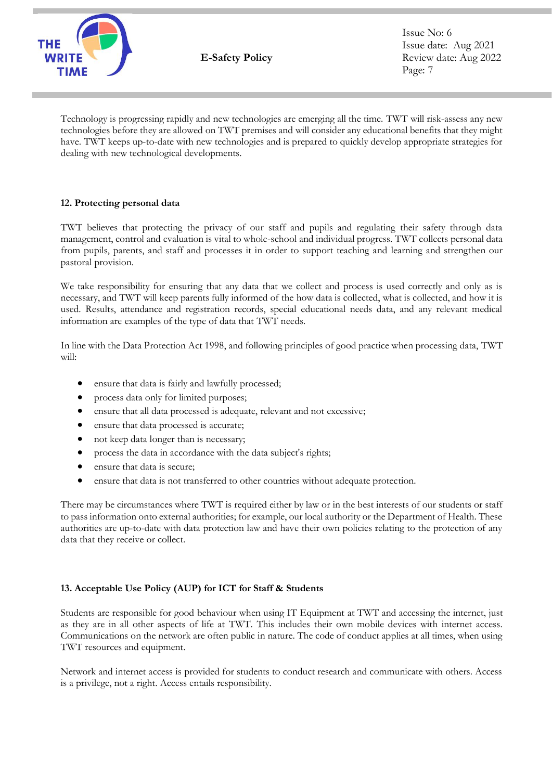

Issue No: 6 Issue date: Aug 2021 Review date: Aug 2022 Page: 7

Technology is progressing rapidly and new technologies are emerging all the time. TWT will risk-assess any new technologies before they are allowed on TWT premises and will consider any educational benefits that they might have. TWT keeps up-to-date with new technologies and is prepared to quickly develop appropriate strategies for dealing with new technological developments.

# **12. Protecting personal data**

TWT believes that protecting the privacy of our staff and pupils and regulating their safety through data management, control and evaluation is vital to whole-school and individual progress. TWT collects personal data from pupils, parents, and staff and processes it in order to support teaching and learning and strengthen our pastoral provision.

We take responsibility for ensuring that any data that we collect and process is used correctly and only as is necessary, and TWT will keep parents fully informed of the how data is collected, what is collected, and how it is used. Results, attendance and registration records, special educational needs data, and any relevant medical information are examples of the type of data that TWT needs.

In line with the Data Protection Act 1998, and following principles of good practice when processing data, TWT will:

- ensure that data is fairly and lawfully processed;
- process data only for limited purposes;
- ensure that all data processed is adequate, relevant and not excessive;
- ensure that data processed is accurate;
- not keep data longer than is necessary;
- process the data in accordance with the data subject's rights;
- ensure that data is secure;
- ensure that data is not transferred to other countries without adequate protection.

There may be circumstances where TWT is required either by law or in the best interests of our students or staff to pass information onto external authorities; for example, our local authority or the Department of Health. These authorities are up-to-date with data protection law and have their own policies relating to the protection of any data that they receive or collect.

#### **13. Acceptable Use Policy (AUP) for ICT for Staff & Students**

Students are responsible for good behaviour when using IT Equipment at TWT and accessing the internet, just as they are in all other aspects of life at TWT. This includes their own mobile devices with internet access. Communications on the network are often public in nature. The code of conduct applies at all times, when using TWT resources and equipment.

Network and internet access is provided for students to conduct research and communicate with others. Access is a privilege, not a right. Access entails responsibility.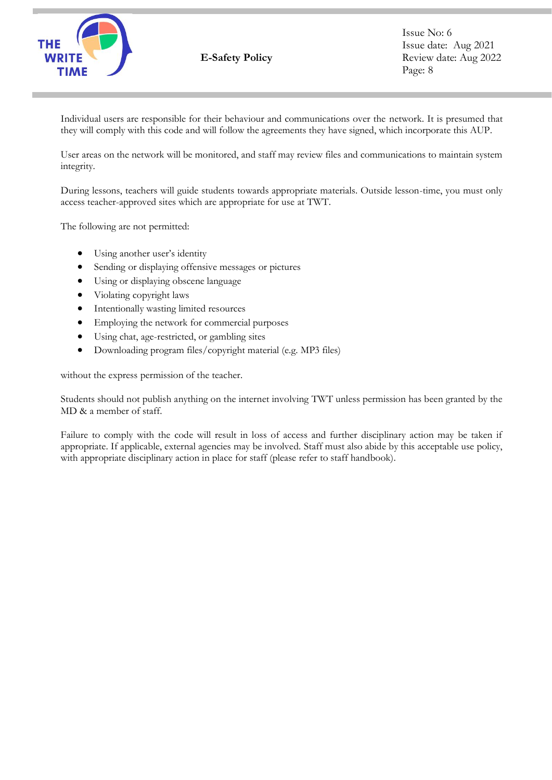

Individual users are responsible for their behaviour and communications over the network. It is presumed that they will comply with this code and will follow the agreements they have signed, which incorporate this AUP.

User areas on the network will be monitored, and staff may review files and communications to maintain system integrity.

During lessons, teachers will guide students towards appropriate materials. Outside lesson-time, you must only access teacher-approved sites which are appropriate for use at TWT.

The following are not permitted:

- Using another user's identity
- Sending or displaying offensive messages or pictures
- Using or displaying obscene language
- Violating copyright laws
- Intentionally wasting limited resources
- Employing the network for commercial purposes
- Using chat, age-restricted, or gambling sites
- Downloading program files/copyright material (e.g. MP3 files)

without the express permission of the teacher.

Students should not publish anything on the internet involving TWT unless permission has been granted by the MD & a member of staff.

Failure to comply with the code will result in loss of access and further disciplinary action may be taken if appropriate. If applicable, external agencies may be involved. Staff must also abide by this acceptable use policy, with appropriate disciplinary action in place for staff (please refer to staff handbook).